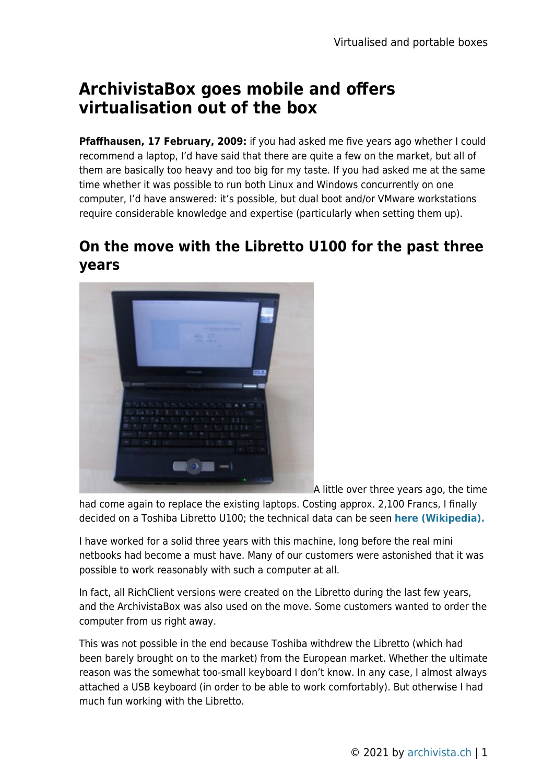# **ArchivistaBox goes mobile and offers virtualisation out of the box**

**Pfaffhausen, 17 February, 2009:** if you had asked me five years ago whether I could recommend a laptop, I'd have said that there are quite a few on the market, but all of them are basically too heavy and too big for my taste. If you had asked me at the same time whether it was possible to run both Linux and Windows concurrently on one computer, I'd have answered: it's possible, but dual boot and/or VMware workstations require considerable knowledge and expertise (particularly when setting them up).

### **On the move with the Libretto U100 for the past three years**



A little over three years ago, the time

had come again to replace the existing laptops. Costing approx. 2,100 Francs, I finally decided on a Toshiba Libretto U100; the technical data can be seen **[here \(Wikipedia\).](http://en.wikipedia.org/wiki/Libretto_(notebook))**

I have worked for a solid three years with this machine, long before the real mini netbooks had become a must have. Many of our customers were astonished that it was possible to work reasonably with such a computer at all.

In fact, all RichClient versions were created on the Libretto during the last few years, and the ArchivistaBox was also used on the move. Some customers wanted to order the computer from us right away.

This was not possible in the end because Toshiba withdrew the Libretto (which had been barely brought on to the market) from the European market. Whether the ultimate reason was the somewhat too-small keyboard I don't know. In any case, I almost always attached a USB keyboard (in order to be able to work comfortably). But otherwise I had much fun working with the Libretto.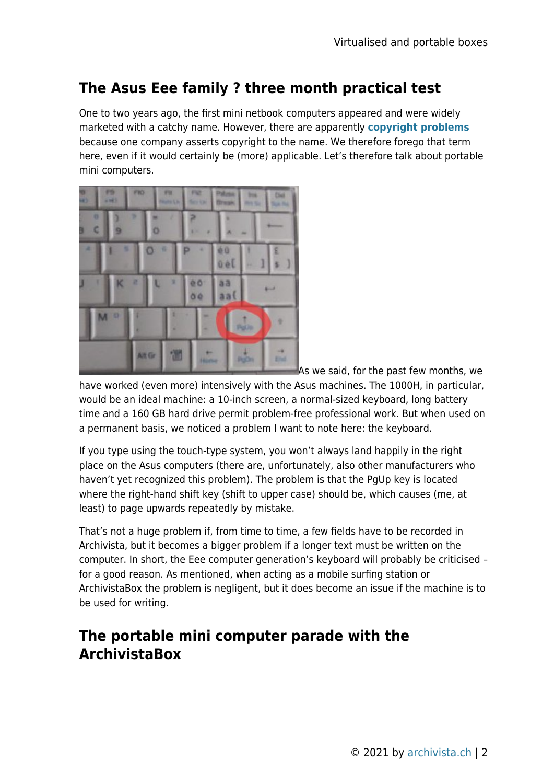## **The Asus Eee family ? three month practical test**

One to two years ago, the first mini netbook computers appeared and were widely marketed with a catchy name. However, there are apparently **[copyright problems](http://www.basicthinking.de/blog/2008/12/26/psion-und-netbook-abmahnungen-wegen-markenrecht/)** because one company asserts copyright to the name. We therefore forego that term here, even if it would certainly be (more) applicable. Let's therefore talk about portable mini computers.



As we said, for the past few months, we

have worked (even more) intensively with the Asus machines. The 1000H, in particular, would be an ideal machine: a 10-inch screen, a normal-sized keyboard, long battery time and a 160 GB hard drive permit problem-free professional work. But when used on a permanent basis, we noticed a problem I want to note here: the keyboard.

If you type using the touch-type system, you won't always land happily in the right place on the Asus computers (there are, unfortunately, also other manufacturers who haven't yet recognized this problem). The problem is that the PgUp key is located where the right-hand shift key (shift to upper case) should be, which causes (me, at least) to page upwards repeatedly by mistake.

That's not a huge problem if, from time to time, a few fields have to be recorded in Archivista, but it becomes a bigger problem if a longer text must be written on the computer. In short, the Eee computer generation's keyboard will probably be criticised – for a good reason. As mentioned, when acting as a mobile surfing station or ArchivistaBox the problem is negligent, but it does become an issue if the machine is to be used for writing.

### **The portable mini computer parade with the ArchivistaBox**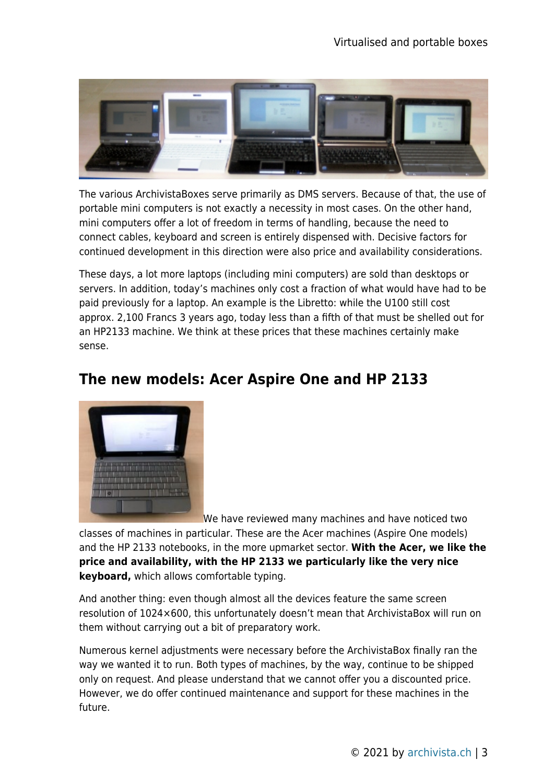

The various ArchivistaBoxes serve primarily as DMS servers. Because of that, the use of portable mini computers is not exactly a necessity in most cases. On the other hand, mini computers offer a lot of freedom in terms of handling, because the need to connect cables, keyboard and screen is entirely dispensed with. Decisive factors for continued development in this direction were also price and availability considerations.

These days, a lot more laptops (including mini computers) are sold than desktops or servers. In addition, today's machines only cost a fraction of what would have had to be paid previously for a laptop. An example is the Libretto: while the U100 still cost approx. 2,100 Francs 3 years ago, today less than a fifth of that must be shelled out for an HP2133 machine. We think at these prices that these machines certainly make sense.

### **The new models: Acer Aspire One and HP 2133**



We have reviewed many machines and have noticed two

classes of machines in particular. These are the Acer machines (Aspire One models) and the HP 2133 notebooks, in the more upmarket sector. **With the Acer, we like the price and availability, with the HP 2133 we particularly like the very nice keyboard,** which allows comfortable typing.

And another thing: even though almost all the devices feature the same screen resolution of 1024×600, this unfortunately doesn't mean that ArchivistaBox will run on them without carrying out a bit of preparatory work.

Numerous kernel adjustments were necessary before the ArchivistaBox finally ran the way we wanted it to run. Both types of machines, by the way, continue to be shipped only on request. And please understand that we cannot offer you a discounted price. However, we do offer continued maintenance and support for these machines in the future.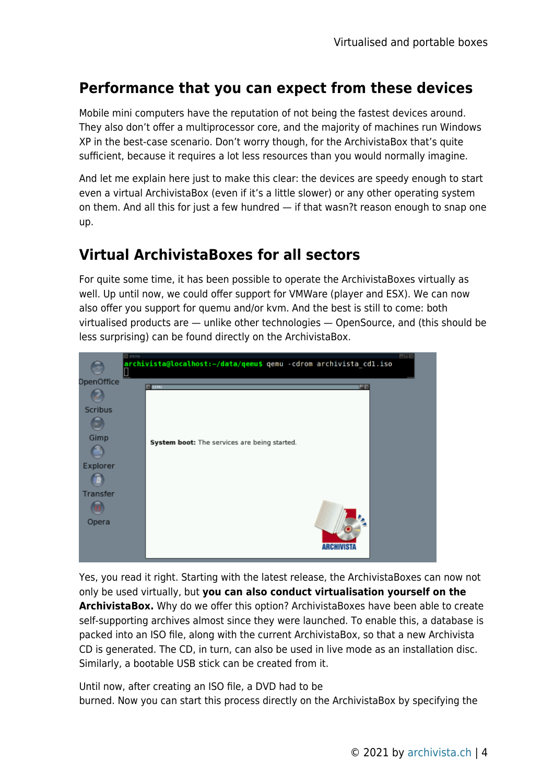#### **Performance that you can expect from these devices**

Mobile mini computers have the reputation of not being the fastest devices around. They also don't offer a multiprocessor core, and the majority of machines run Windows XP in the best-case scenario. Don't worry though, for the ArchivistaBox that's quite sufficient, because it requires a lot less resources than you would normally imagine.

And let me explain here just to make this clear: the devices are speedy enough to start even a virtual ArchivistaBox (even if it's a little slower) or any other operating system on them. And all this for just a few hundred — if that wasn?t reason enough to snap one up.

#### **Virtual ArchivistaBoxes for all sectors**

For quite some time, it has been possible to operate the ArchivistaBoxes virtually as well. Up until now, we could offer support for VMWare (player and ESX). We can now also offer you support for quemu and/or kvm. And the best is still to come: both virtualised products are — unlike other technologies — OpenSource, and (this should be less surprising) can be found directly on the ArchivistaBox.



Yes, you read it right. Starting with the latest release, the ArchivistaBoxes can now not only be used virtually, but **you can also conduct virtualisation yourself on the ArchivistaBox.** Why do we offer this option? ArchivistaBoxes have been able to create self-supporting archives almost since they were launched. To enable this, a database is packed into an ISO file, along with the current ArchivistaBox, so that a new Archivista CD is generated. The CD, in turn, can also be used in live mode as an installation disc. Similarly, a bootable USB stick can be created from it.

Until now, after creating an ISO file, a DVD had to be burned. Now you can start this process directly on the ArchivistaBox by specifying the